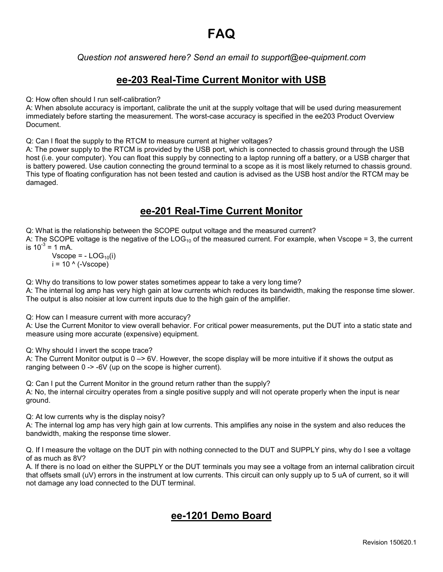# **FAQ**

#### *Question not answered here? Send an email to support@ee-quipment.com*

### **ee-203 Real-Time Current Monitor with USB**

Q: How often should I run self-calibration?

A: When absolute accuracy is important, calibrate the unit at the supply voltage that will be used during measurement immediately before starting the measurement. The worst-case accuracy is specified in the ee203 Product Overview Document.

Q: Can I float the supply to the RTCM to measure current at higher voltages?

A: The power supply to the RTCM is provided by the USB port, which is connected to chassis ground through the USB host (i.e. your computer). You can float this supply by connecting to a laptop running off a battery, or a USB charger that is battery powered. Use caution connecting the ground terminal to a scope as it is most likely returned to chassis ground. This type of floating configuration has not been tested and caution is advised as the USB host and/or the RTCM may be damaged.

## **ee-201 Real-Time Current Monitor**

Q: What is the relationship between the SCOPE output voltage and the measured current? A: The SCOPE voltage is the negative of the LOG<sub>10</sub> of the measured current. For example, when Vscope = 3, the current is  $10^{-3}$  = 1 mA.

Vscope =  $-$  LOG<sub>10</sub>(i)  $i = 10^{\circ}$  (-Vscope)

Q: Why do transitions to low power states sometimes appear to take a very long time?

A: The internal log amp has very high gain at low currents which reduces its bandwidth, making the response time slower. The output is also noisier at low current inputs due to the high gain of the amplifier.

Q: How can I measure current with more accuracy?

A: Use the Current Monitor to view overall behavior. For critical power measurements, put the DUT into a static state and measure using more accurate (expensive) equipment.

Q: Why should I invert the scope trace?

A: The Current Monitor output is 0 –> 6V. However, the scope display will be more intuitive if it shows the output as ranging between 0 -> -6V (up on the scope is higher current).

Q: Can I put the Current Monitor in the ground return rather than the supply? A: No, the internal circuitry operates from a single positive supply and will not operate properly when the input is near ground.

Q: At low currents why is the display noisy?

A: The internal log amp has very high gain at low currents. This amplifies any noise in the system and also reduces the bandwidth, making the response time slower.

Q. If I measure the voltage on the DUT pin with nothing connected to the DUT and SUPPLY pins, why do I see a voltage of as much as 8V?

A. If there is no load on either the SUPPLY or the DUT terminals you may see a voltage from an internal calibration circuit that offsets small (uV) errors in the instrument at low currents. This circuit can only supply up to 5 uA of current, so it will not damage any load connected to the DUT terminal.

#### **ee-1201 Demo Board**